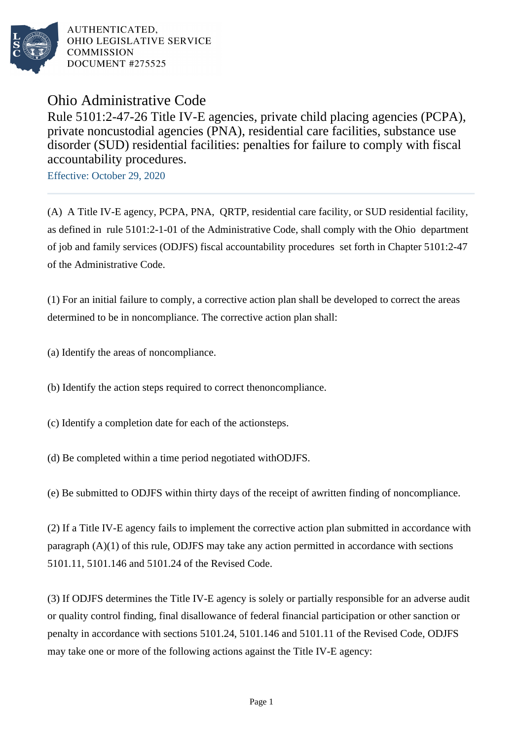

Ohio Administrative Code

Rule 5101:2-47-26 Title IV-E agencies, private child placing agencies (PCPA), private noncustodial agencies (PNA), residential care facilities, substance use disorder (SUD) residential facilities: penalties for failure to comply with fiscal accountability procedures.

Effective: October 29, 2020

(A) A Title IV-E agency, PCPA, PNA, QRTP, residential care facility, or SUD residential facility, as defined in rule 5101:2-1-01 of the Administrative Code, shall comply with the Ohio department of job and family services (ODJFS) fiscal accountability procedures set forth in Chapter 5101:2-47 of the Administrative Code.

 $(1)$  For an initial failure to comply, a corrective action plan shall be developed to correct the areas determined to be in noncompliance. The corrective action plan shall:

(a) Identify the areas of noncompliance.

(b) Identify the action steps required to correct the noncompliance.

- (c) Identify a completion date for each of the action steps.
- (d) Be completed within a time period negotiated with ODJFS.

(e) Be submitted to ODJFS within thirty days of the receipt of a written finding of noncompliance.

(2) If a Title IV-E agency fails to implement the corrective action plan submitted in accordance with paragraph  $(A)(1)$  of this rule, ODJFS may take any action permitted in accordance with sections 5101.11, 5101.146 and 5101.24 of the Revised Code.

(3) If ODJFS determines the Title IV-E agency is solely or partially responsible for an adverse audit or quality control finding, final disallowance of federal financial participation or other sanction or penalty in accordance with sections 5101.24, 5101.146 and 5101.11 of the Revised Code, ODJFS may take one or more of the following actions against the Title IV-E agency: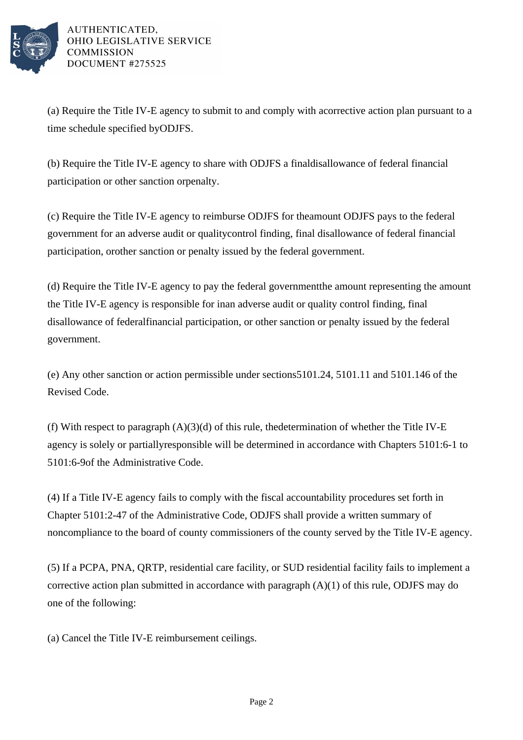

(a) Require the Title IV-E agency to submit to and comply with a corrective action plan pursuant to a time schedule specified by ODJFS.

(b) Require the Title IV-E agency to share with ODJFS a final disallowance of federal financial participation or other sanction or penalty.

(c) Require the Title IV-E agency to reimburse ODJFS for the amount ODJFS pays to the federal government for an adverse audit or quality control finding, final disallowance of federal financial participation, or other sanction or penalty issued by the federal government.

(d) Require the Title IV-E agency to pay the federal government the amount representing the amount the Title IV-E agency is responsible for in an adverse audit or quality control finding, final disallowance of federal financial participation, or other sanction or penalty issued by the federal government.

(e) Any other sanction or action permissible under sections 5101.24, 5101.11 and 5101.146 of the Revised Code.

(f) With respect to paragraph  $(A)(3)(d)$  of this rule, the determination of whether the Title IV-E agency is solely or partially responsible will be determined in accordance with Chapters 5101:6-1 to 5101:6-9 of the Administrative Code.

(4) If a Title IV-E agency fails to comply with the fiscal accountability procedures set forth in Chapter 5101:2-47 of the Administrative Code, ODJFS shall provide a written summary of noncompliance to the board of county commissioners of the county served by the Title IV-E agency.

(5) If a PCPA, PNA, QRTP, residential care facility, or SUD residential facility fails to implement a corrective action plan submitted in accordance with paragraph  $(A)(1)$  of this rule, ODJFS may do one of the following:

(a) Cancel the Title IV-E reimbursement ceilings.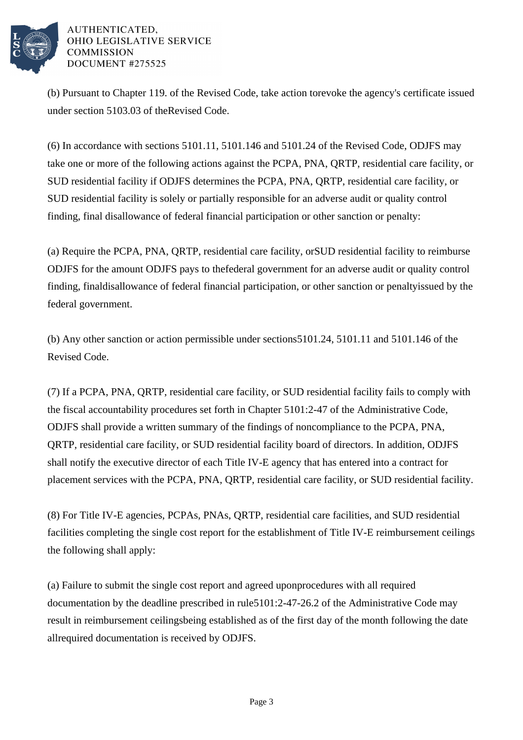

(b) Pursuant to Chapter 119. of the Revised Code, take action to revoke the agency's certificate issued under section 5103.03 of the Revised Code.

 $(6)$  In accordance with sections 5101.11, 5101.146 and 5101.24 of the Revised Code, ODJFS may take one or more of the following actions against the PCPA, PNA, QRTP, residential care facility, or SUD residential facility if ODJFS determines the PCPA, PNA, ORTP, residential care facility, or SUD residential facility is solely or partially responsible for an adverse audit or quality control finding, final disallowance of federal financial participation or other sanction or penalty:

(a) Require the PCPA, PNA, QRTP, residential care facility, or SUD residential facility to reimburse ODJFS for the amount ODJFS pays to the federal government for an adverse audit or quality control finding, final disallowance of federal financial participation, or other sanction or penalty issued by the federal government.

(b) Any other sanction or action permissible under sections  $5101.24$ ,  $5101.11$  and  $5101.146$  of the Revised Code.

(7) If a PCPA, PNA, QRTP, residential care facility, or SUD residential facility fails to comply with the fiscal accountability procedures set forth in Chapter  $5101:2-47$  of the Administrative Code, ODJFS shall provide a written summary of the findings of noncompliance to the PCPA, PNA, QRTP, residential care facility, or SUD residential facility board of directors. In addition, ODJFS shall notify the executive director of each Title IV-E agency that has entered into a contract for placement services with the PCPA, PNA, QRTP, residential care facility, or SUD residential facility.

(8) For Title IV-E agencies, PCPAs, PNAs, QRTP, residential care facilities, and SUD residential facilities completing the single cost report for the establishment of Title IV-E reimbursement ceilings the following shall apply:

(a) Failure to submit the single cost report and agreed upon procedures with all required documentation by the deadline prescribed in rule 5101:2-47-26.2 of the Administrative Code may result in reimbursement ceilings being established as of the first day of the month following the date all required documentation is received by ODJFS.